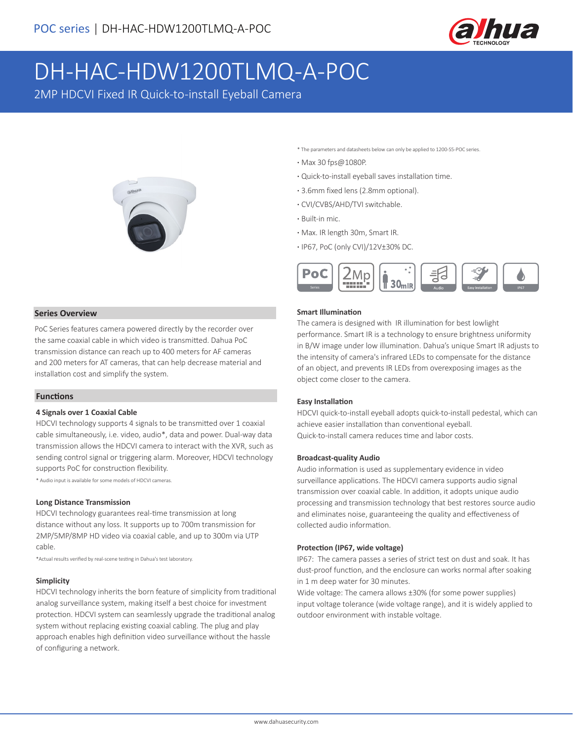

# DH-HAC-HDW1200TLMQ-A-POC

2MP HDCVI Fixed IR Quick-to-install Eyeball Camera



\* The parameters and datasheets below can only be applied to 1200-S5-POC series.

- **·** Max 30 fps@1080P.
- **·** Quick-to-install eyeball saves installation time.
- **·** 3.6mm fixed lens (2.8mm optional).
- **·** CVI/CVBS/AHD/TVI switchable.
- **·** Built-in mic.
- **·** Max. IR length 30m, Smart IR.
- **·** IP67, PoC (only CVI)/12V±30% DC.



#### **Series Overview**

PoC Series features camera powered directly by the recorder over the same coaxial cable in which video is transmitted. Dahua PoC transmission distance can reach up to 400 meters for AF cameras and 200 meters for AT cameras, that can help decrease material and installation cost and simplify the system.

#### **Functions**

#### **4 Signals over 1 Coaxial Cable**

HDCVI technology supports 4 signals to be transmitted over 1 coaxial cable simultaneously, i.e. video, audio\*, data and power. Dual-way data transmission allows the HDCVI camera to interact with the XVR, such as sending control signal or triggering alarm. Moreover, HDCVI technology supports PoC for construction flexibility.

\* Audio input is available for some models of HDCVI cameras.

#### **Long Distance Transmission**

HDCVI technology guarantees real-time transmission at long distance without any loss. It supports up to 700m transmission for 2MP/5MP/8MP HD video via coaxial cable, and up to 300m via UTP cable.

\*Actual results verified by real-scene testing in Dahua's test laboratory.

#### **Simplicity**

HDCVI technology inherits the born feature of simplicity from traditional analog surveillance system, making itself a best choice for investment protection. HDCVI system can seamlessly upgrade the traditional analog system without replacing existing coaxial cabling. The plug and play approach enables high definition video surveillance without the hassle of configuring a network.

#### **Smart Illumination**

The camera is designed with IR illumination for best lowlight performance. Smart IR is a technology to ensure brightness uniformity in B/W image under low illumination. Dahua's unique Smart IR adjusts to the intensity of camera's infrared LEDs to compensate for the distance of an object, and prevents IR LEDs from overexposing images as the object come closer to the camera.

#### **Easy Installation**

HDCVI quick-to-install eyeball adopts quick-to-install pedestal, which can achieve easier installation than conventional eyeball. Quick-to-install camera reduces time and labor costs.

#### **Broadcast-quality Audio**

Audio information is used as supplementary evidence in video surveillance applications. The HDCVI camera supports audio signal transmission over coaxial cable. In addition, it adopts unique audio processing and transmission technology that best restores source audio and eliminates noise, guaranteeing the quality and effectiveness of collected audio information.

#### **Protection (IP67, wide voltage)**

IP67: The camera passes a series of strict test on dust and soak. It has dust-proof function, and the enclosure can works normal after soaking in 1 m deep water for 30 minutes.

Wide voltage: The camera allows ±30% (for some power supplies) input voltage tolerance (wide voltage range), and it is widely applied to outdoor environment with instable voltage.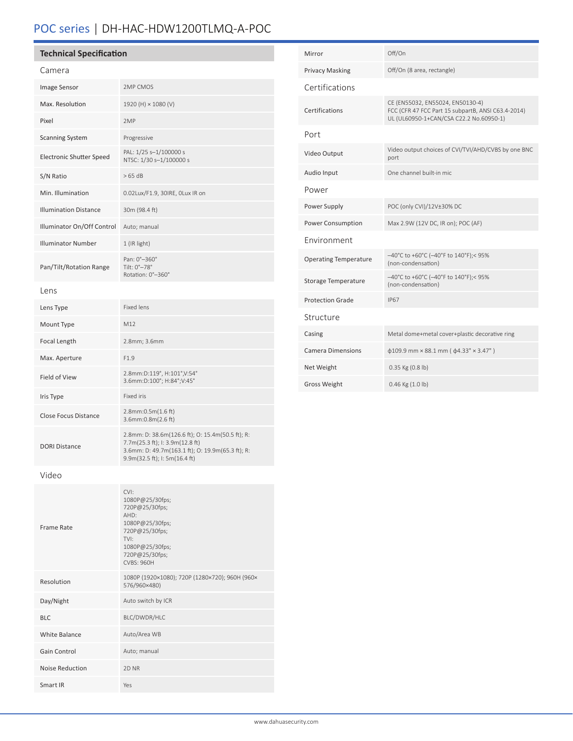# POC series | DH-HAC-HDW1200TLMQ-A-POC

Smart IR Yes

| <b>Technical Specification</b>  |                                                                                                                                                                          | Mirror                       | Off/On                                                                                 |
|---------------------------------|--------------------------------------------------------------------------------------------------------------------------------------------------------------------------|------------------------------|----------------------------------------------------------------------------------------|
| Camera                          |                                                                                                                                                                          | <b>Privacy Masking</b>       | Off/On (8 area, rectangle)                                                             |
| Image Sensor                    | 2MP CMOS                                                                                                                                                                 | Certifications               |                                                                                        |
| Max. Resolution                 | 1920 (H) × 1080 (V)                                                                                                                                                      | Certifications               | CE (EN55032, EN55024, EN50130-4)<br>FCC (CFR 47 FCC Part 15 subpartB, ANSI C63.4-2014) |
| Pixel                           | 2MP                                                                                                                                                                      |                              | UL (UL60950-1+CAN/CSA C22.2 No.60950-1)                                                |
| <b>Scanning System</b>          | Progressive                                                                                                                                                              | Port                         |                                                                                        |
| <b>Electronic Shutter Speed</b> | PAL: 1/25 s-1/100000 s<br>NTSC: 1/30 s-1/100000 s                                                                                                                        | Video Output                 | Video output choices of CVI/TVI/AHD/CVBS by one BNC<br>port                            |
| S/N Ratio                       | >65 dB                                                                                                                                                                   | Audio Input                  | One channel built-in mic                                                               |
| Min. Illumination               | 0.02Lux/F1.9, 30IRE, OLux IR on                                                                                                                                          | Power                        |                                                                                        |
| <b>Illumination Distance</b>    | 30m (98.4 ft)                                                                                                                                                            | Power Supply                 | POC (only CVI)/12V±30% DC                                                              |
| Illuminator On/Off Control      | Auto; manual                                                                                                                                                             | Power Consumption            | Max 2.9W (12V DC, IR on); POC (AF)                                                     |
| <b>Illuminator Number</b>       | 1 (IR light)                                                                                                                                                             | Environment                  |                                                                                        |
| Pan/Tilt/Rotation Range         | Pan: 0°-360°<br>Tilt: 0°-78°                                                                                                                                             | <b>Operating Temperature</b> | $-40^{\circ}$ C to +60°C (-40°F to 140°F);< 95%<br>(non-condensation)                  |
| Lens                            | Rotation: 0°-360°                                                                                                                                                        | Storage Temperature          | -40°C to +60°C (-40°F to 140°F);< 95%<br>(non-condensation)                            |
| Lens Type                       | Fixed lens                                                                                                                                                               | <b>Protection Grade</b>      | <b>IP67</b>                                                                            |
| Mount Type                      | M12                                                                                                                                                                      | Structure                    |                                                                                        |
| Focal Length                    | 2.8mm; 3.6mm                                                                                                                                                             | Casing                       | Metal dome+metal cover+plastic decorative ring                                         |
| Max. Aperture                   | F1.9                                                                                                                                                                     | <b>Camera Dimensions</b>     | $\phi$ 109.9 mm × 88.1 mm ( $\phi$ 4.33" × 3.47")                                      |
| Field of View                   | 2.8mm:D:119°, H:101°, V:54°                                                                                                                                              | Net Weight                   | 0.35 Kg (0.8 lb)                                                                       |
|                                 | 3.6mm:D:100°; H:84°;V:45°                                                                                                                                                | Gross Weight                 | 0.46 Kg (1.0 lb)                                                                       |
| Iris Type                       | Fixed iris                                                                                                                                                               |                              |                                                                                        |
| Close Focus Distance            | 2.8mm:0.5m(1.6 ft)<br>3.6mm:0.8m(2.6 ft)                                                                                                                                 |                              |                                                                                        |
| <b>DORI Distance</b>            | 2.8mm: D: 38.6m(126.6 ft); O: 15.4m(50.5 ft); R:<br>7.7m(25.3 ft); I: 3.9m(12.8 ft)<br>3.6mm: D: 49.7m(163.1 ft); O: 19.9m(65.3 ft); R:<br>9.9m(32.5 ft); I: 5m(16.4 ft) |                              |                                                                                        |
| Video                           |                                                                                                                                                                          |                              |                                                                                        |
| Frame Rate                      | CVI:<br>1080P@25/30fps;<br>720P@25/30fps;<br>AHD:<br>1080P@25/30fps;<br>720P@25/30fps;<br>TVI:<br>1080P@25/30fps;<br>720P@25/30fps;<br>CVBS: 960H                        |                              |                                                                                        |
| Resolution                      | 1080P (1920×1080); 720P (1280×720); 960H (960×<br>576/960×480)                                                                                                           |                              |                                                                                        |
| Day/Night                       | Auto switch by ICR                                                                                                                                                       |                              |                                                                                        |
| <b>BLC</b>                      | BLC/DWDR/HLC                                                                                                                                                             |                              |                                                                                        |
| White Balance                   | Auto/Area WB                                                                                                                                                             |                              |                                                                                        |
| Gain Control                    | Auto; manual                                                                                                                                                             |                              |                                                                                        |
| Noise Reduction                 | 2D NR                                                                                                                                                                    |                              |                                                                                        |